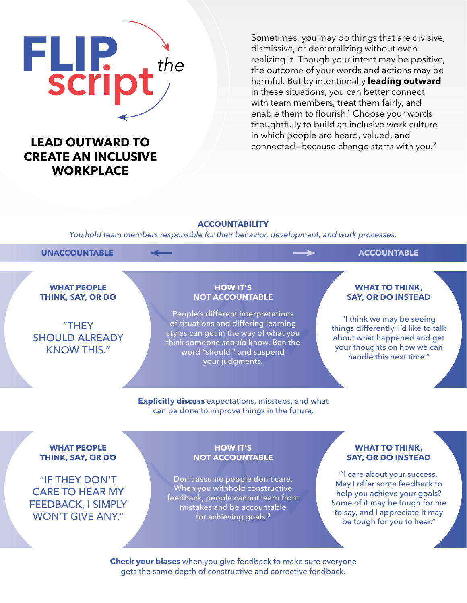# **FLIP** script*the*

# **CREATE AN INCLUSIVE WORKPLACE**

Sometimes, you may do things that are divisive, dismissive, or demoralizing without even realizing it. Though your intent may be positive, the outcome of your words and actions may be harmful. But by intentionally **leading outward** in these situations, you can better connect with team members, treat them fairly, and enable them to flourish.<sup>1</sup> Choose your words thoughtfully to build an inclusive work culture in which people are heard, valued, and **LEAD OUTWARD TO**<br> **2** connected–because change starts with you.<sup>2</sup>

### **ACCOUNTABILITY**

*You hold team members responsible for their behavior, development, and work processes.*

### **UNACCOUNTABLE ACCOUNTABLE**

**WHAT PEOPLE THINK, SAY, OR DO**

### "THEY SHOULD ALREADY KNOW THIS."

### **HOW IT'S NOT ACCOUNTABLE**

People's different interpretations of situations and differing learning styles can get in the way of what you think someone *should* know. Ban the word "should," and suspend your judgments.

### **WHAT TO THINK, SAY, OR DO INSTEAD**

"I think we may be seeing things differently. I'd like to talk about what happened and get your thoughts on how we can handle this next time."

**Explicitly discuss** expectations, missteps, and what can be done to improve things in the future.

### **WHAT PEOPLE THINK, SAY, OR DO**

"IF THEY DON'T CARE TO HEAR MY FEEDBACK, I SIMPLY WON'T GIVE ANY."

### **HOW IT'S NOT ACCOUNTABLE**

Don't assume people don't care. When you withhold constructive feedback, people cannot learn from mistakes and be accountable for achieving goals.3

### **WHAT TO THINK, SAY, OR DO INSTEAD**

"I care about your success. May I offer some feedback to help you achieve your goals? Some of it may be tough for me to say, and I appreciate it may be tough for you to hear."

**Check your biases** when you give feedback to make sure everyone gets the same depth of constructive and corrective feedback.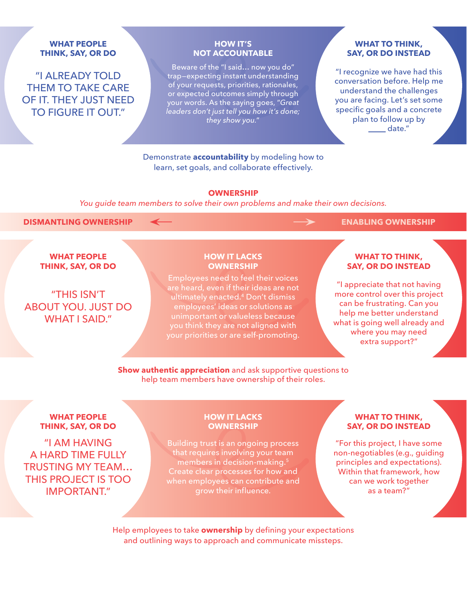### **WHAT PEOPLE THINK, SAY, OR DO**

"I ALREADY TOLD THEM TO TAKE CARE OF IT. THEY JUST NEED TO FIGURE IT OUT."

### **HOW IT'S NOT ACCOUNTABLE**

Beware of the "I said… now you do" trap—expecting instant understanding of your requests, priorities, rationales, or expected outcomes simply through your words. As the saying goes, "*Great leaders don't just tell you how it's done; they show you.*"

### **WHAT TO THINK, SAY, OR DO INSTEAD**

"I recognize we have had this conversation before. Help me understand the challenges you are facing. Let's set some specific goals and a concrete plan to follow up by date."

Demonstrate **accountability** by modeling how to learn, set goals, and collaborate effectively.

### **OWNERSHIP**

*You guide team members to solve their own problems and make their own decisions.*

### **DISMANTLING OWNERSHIP**  $\leftarrow$  **ENABLING OWNERSHIP**

### **WHAT PEOPLE THINK, SAY, OR DO**

"THIS ISN'T ABOUT YOU. JUST DO WHAT I SAID."

### **HOW IT LACKS OWNERSHIP**

Employees need to feel their voices are heard, even if their ideas are not ultimately enacted.4 Don't dismiss employees' ideas or solutions as unimportant or valueless because you think they are not aligned with your priorities or are self-promoting.

### **WHAT TO THINK, SAY, OR DO INSTEAD**

"I appreciate that not having more control over this project can be frustrating. Can you help me better understand what is going well already and where you may need extra support?"

**Show authentic appreciation** and ask supportive questions to help team members have ownership of their roles.

### **WHAT PEOPLE THINK, SAY, OR DO**

"I AM HAVING A HARD TIME FULLY TRUSTING MY TEAM… THIS PROJECT IS TOO IMPORTANT."

### **HOW IT LACKS OWNERSHIP**

Building trust is an ongoing process that requires involving your team members in decision-making.<sup>5</sup> Create clear processes for how and when employees can contribute and grow their influence.

### **WHAT TO THINK, SAY, OR DO INSTEAD**

"For this project, I have some non-negotiables (e.g., guiding principles and expectations). Within that framework, how can we work together as a team?"

Help employees to take **ownership** by defining your expectations and outlining ways to approach and communicate missteps.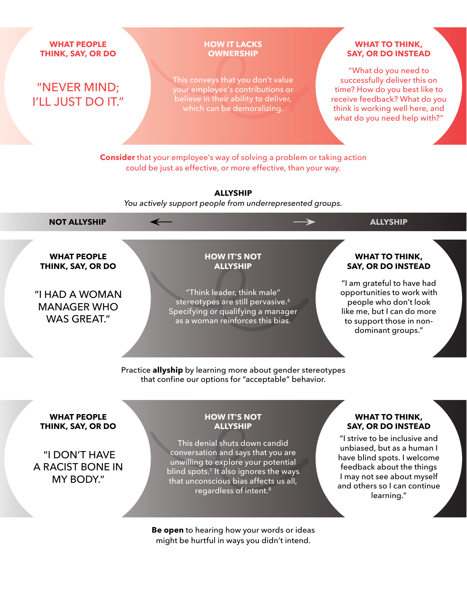**WHAT PEOPLE THINK, SAY, OR DO**

## "NEVER MIND; I'LL JUST DO IT."

### **HOW IT LACKS OWNERSHIP**

This conveys that you don't value your employee's contributions or believe in their ability to deliver, which can be demoralizing.

### **WHAT TO THINK, SAY, OR DO INSTEAD**

"What do you need to successfully deliver this on time? How do you best like to receive feedback? What do you think is working well here, and what do you need help with?"

**Consider** that your employee's way of solving a problem or taking action could be just as effective, or more effective, than your way.

**ALLYSHIP** *You actively support people from underrepresented groups.*

**NOT ALLYSHIP**  $\leftarrow$  **ALLYSHIP** 

**WHAT PEOPLE THINK, SAY, OR DO**

"I HAD A WOMAN MANAGER WHO WAS GREAT."

**HOW IT'S NOT ALLYSHIP**

"Think leader, think male" stereotypes are still pervasive.<sup>6</sup> Specifying or qualifying a manager as a woman reinforces this bias.

### **WHAT TO THINK, SAY, OR DO INSTEAD**

"I am grateful to have had opportunities to work with people who don't look like me, but I can do more to support those in nondominant groups."

Practice **allyship** by learning more about gender stereotypes that confine our options for "acceptable" behavior.

### **WHAT PEOPLE THINK, SAY, OR DO**

 "I DON'T HAVE A RACIST BONE IN MY BODY."

### **HOW IT'S NOT ALLYSHIP**

This denial shuts down candid conversation and says that you are unwilling to explore your potential blind spots. $7$  It also ignores the ways that unconscious bias affects us all, regardless of intent.<sup>8</sup>

**Be open** to hearing how your words or ideas might be hurtful in ways you didn't intend.

### **WHAT TO THINK, SAY, OR DO INSTEAD**

"I strive to be inclusive and unbiased, but as a human I have blind spots. I welcome feedback about the things I may not see about myself and others so I can continue learning."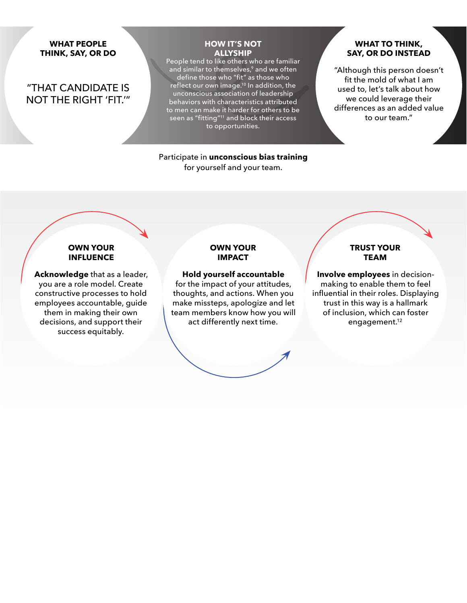### **WHAT PEOPLE THINK, SAY, OR DO**

### "THAT CANDIDATE IS NOT THE RIGHT 'FIT.'"

### **HOW IT'S NOT ALLYSHIP**

People tend to like others who are familiar and similar to themselves,<sup>9</sup> and we often define those who "fit" as those who reflect our own image.<sup>10</sup> In addition, the unconscious association of leadership behaviors with characteristics attributed to men can make it harder for others to be seen as "fitting"11 and block their access to opportunities.

### Participate in **unconscious bias training** for yourself and your team.

### **WHAT TO THINK, SAY, OR DO INSTEAD**

"Although this person doesn't fit the mold of what I am used to, let's talk about how we could leverage their differences as an added value to our team."

### **OWN YOUR INFLUENCE**

**Acknowledge** that as a leader, you are a role model. Create constructive processes to hold employees accountable, guide them in making their own decisions, and support their success equitably.

### **OWN YOUR IMPACT**

**Hold yourself accountable** for the impact of your attitudes, thoughts, and actions. When you make missteps, apologize and let team members know how you will act differently next time.

### **TRUST YOUR TEAM**

**Involve employees** in decisionmaking to enable them to feel influential in their roles. Displaying trust in this way is a hallmark of inclusion, which can foster engagement.12